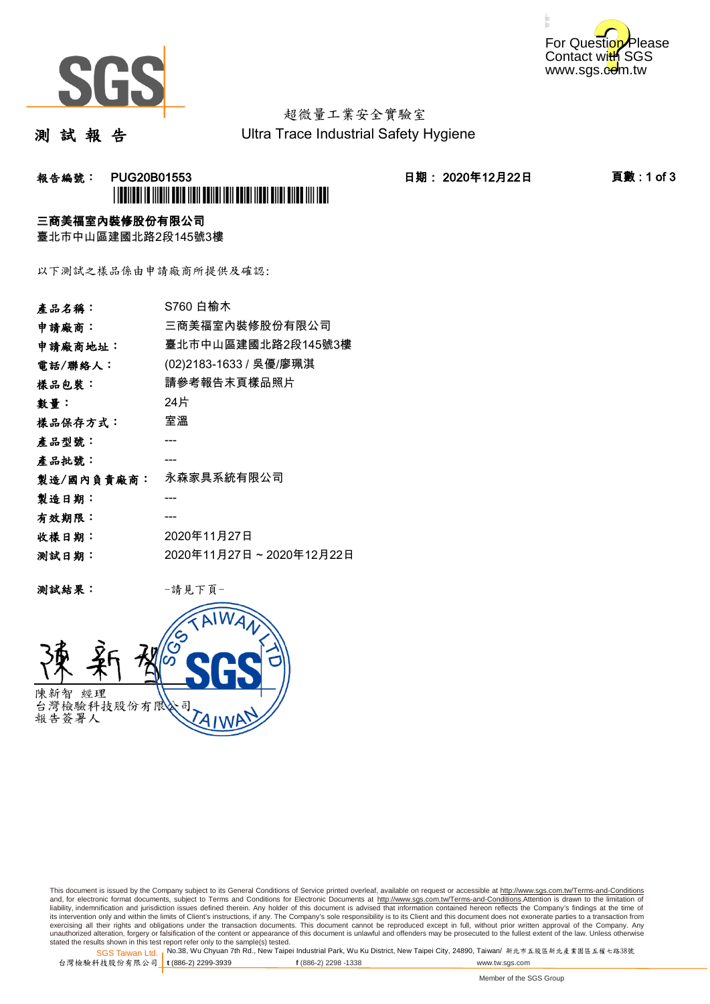



# 超微量工業安全實驗室

測 試 報 告

Ultra Trace Industrial Safety Hygiene

### **報告編號: PUG20B01553 日期: 2020年12月22日 頁數:1 of 3** \*PUG20B01553\*

#### 三商美福室內裝修股份有限公司

臺北市中山區建國北路2段145號3樓

以下測試之樣品係由申請廠商所提供及確認:

| 產品名稱:      | S760 白榆木                |
|------------|-------------------------|
| 申請廠商:      | 三商美福室內裝修股份有限公司          |
| 申請廠商地址:    | 臺北市中山區建國北路2段145號3樓      |
| 電話/聯絡人:    | (02)2183-1633 / 吳優/廖珮淇  |
| 樣品包裝:      | 請參考報告末頁樣品照片             |
| 數量:        | 24片                     |
| 樣品保存方式:    | 室溫                      |
| 產品型號:      |                         |
| 產品批號:      |                         |
| 製造/國內負責廠商: | 永森家具系統有限公司              |
| 製造日期:      |                         |
| 有效期限:      |                         |
| 收樣日期:      | 2020年11月27日             |
| 测試日期:      | 2020年11月27日~2020年12月22日 |
|            |                         |

测試結果: 一請見下頁



This document is issued by the Company subject to its General Conditions of Service printed overleaf, available on request or accessible at http://www.sgs.com.tw/Terms-and-Conditions and, for electronic format documents, subject to Terms and Conditions for Electronic Documents at <u>http://www.sgs.com.tw/Terms-and-Conditions</u>.Attention is drawn to the limitation of<br>liability, indemnification and jurisdic exercising all their rights and obligations under the transaction documents. This document cannot be reproduced except in full, without prior written approval of the Company. Any<br>unauthorized alteration, forgery or falsifi

SGS Taiwan Ltd. 1 stated the results shown in this test report refer only to the sample(s) tested.<br>Stated the results shown in this test report refer only to the sample(s) tested.

台灣檢驗科技股份有限公司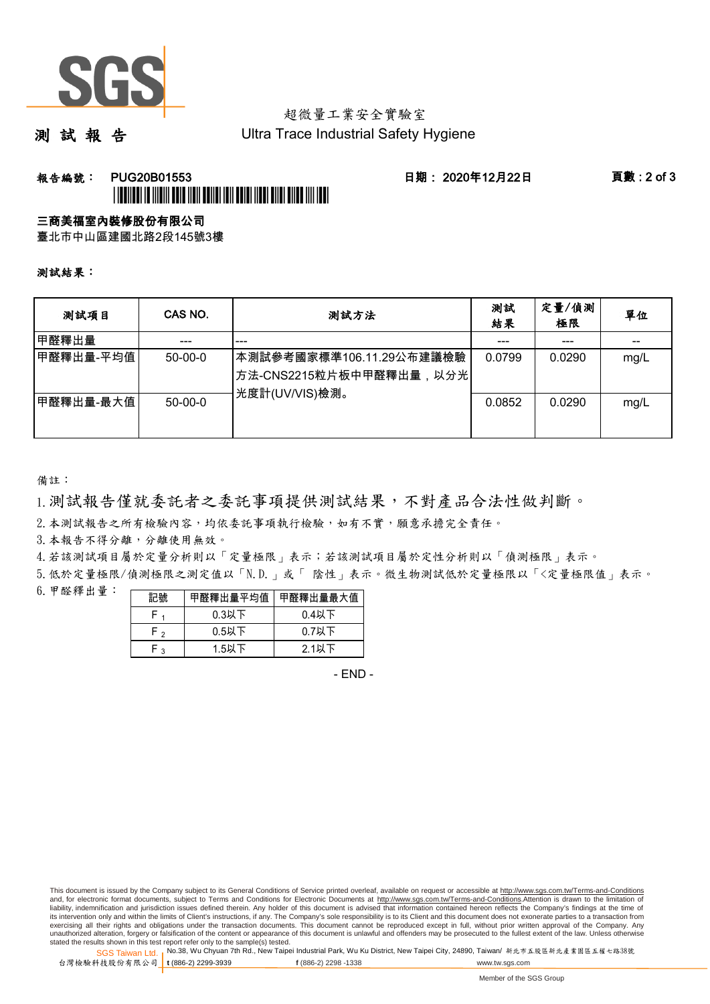

## 超微量工業安全實驗室

測 試 報 告

Ultra Trace Industrial Safety Hygiene

### 報告編號: PUG20B01553 日期: 2020年12月22日 頁數 : 2 of 3 \*PUG20B01553\*

#### 三商美福室內裝修股份有限公司

臺北市中山區建國北路2段145號3樓

測試結果:

| 测試項目      | CAS NO.       | 測試方法                                                                                | 測試<br>結果 | 定量/偵測<br>極限 | 單位   |
|-----------|---------------|-------------------------------------------------------------------------------------|----------|-------------|------|
| 甲醛釋出量     |               | ---                                                                                 |          |             |      |
| 甲醛釋出量-平均值 | $50-00-0$     | 本測試參考國家標準106.11.29公布建議檢驗<br><sup> </sup> 方法-CNS2215粒片板中甲醛釋出量,以分光 <br>光度計(UV/VIS)檢測。 | 0.0799   | 0.0290      | mg/L |
| 甲醛釋出量-最大值 | $50 - 00 - 0$ |                                                                                     | 0.0852   | 0.0290      | mg/L |

備註:

1.測試報告僅就委託者之委託事項提供測試結果,不對產品合法性做判斷。

2.本測試報告之所有檢驗內容,均依委託事項執行檢驗,如有不實,願意承擔完全責任。

3. 本報告不得分離,分離使用無效。

4.若該測試項目屬於定量分析則以「定量極限」表示;若該測試項目屬於定性分析則以「偵測極限」表示。

5.低於定量極限/偵測極限之測定值以「N.D.」或「 陰性」表示。微生物測試低於定量極限以「<定量極限值」表示。

6.甲醛釋出量:

| 記號  | 甲醛釋出量平均值丨 | 甲醛釋出量最大值 |  |  |
|-----|-----------|----------|--|--|
|     | $0.3$ 以下  | $0.4$ 以下 |  |  |
| ົ່າ | $0.5$ 以下  | $0.7$ 以下 |  |  |
| ົ   | $1.5$ 以下  | $2.1$ 以下 |  |  |

- END -

This document is issued by the Company subject to its General Conditions of Service printed overleaf, available on request or accessible at http://www.sgs.com.tw/Terms-and-Conditions and, for electronic format documents, subject to Terms and Conditions for Electronic Documents at http://www.sgs.com.tw/Terms-and-Conditions.Attention is drawn to the limitation of liability, indemnification and jurisdiction issues defined therein. Any holder of this document is advised that information contained hereon reflects the Company's findings at the time of<br>its intervention only and within t exercising all their rights and obligations under the transaction documents. This document cannot be reproduced except in full, without prior written approval of the Company. Any<br>unauthorized alteration, forgery or falsifi

SGS Taiwan Ltd. 1 stated the results shown in this test report refer only to the sample(s) tested.<br>Stated the results shown in this test report refer only to the sample(s) tested.

台灣檢驗科技股份有限公司

**t** (886-2) 2299-3939 **f** (886-2) 2298 -1338 www.tw.sgs.com